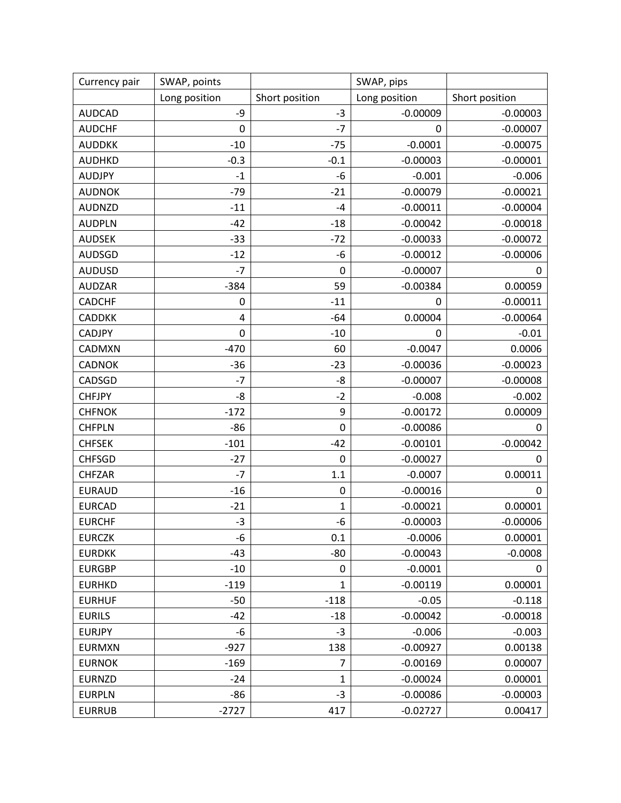| Currency pair | SWAP, points     |                | SWAP, pips    |                |
|---------------|------------------|----------------|---------------|----------------|
|               | Long position    | Short position | Long position | Short position |
| <b>AUDCAD</b> | -9               | $-3$           | $-0.00009$    | $-0.00003$     |
| <b>AUDCHF</b> | 0                | $-7$           | 0             | $-0.00007$     |
| <b>AUDDKK</b> | $-10$            | $-75$          | $-0.0001$     | $-0.00075$     |
| <b>AUDHKD</b> | $-0.3$           | $-0.1$         | $-0.00003$    | $-0.00001$     |
| <b>AUDJPY</b> | $-1$             | -6             | $-0.001$      | $-0.006$       |
| <b>AUDNOK</b> | $-79$            | $-21$          | $-0.00079$    | $-0.00021$     |
| <b>AUDNZD</b> | $-11$            | $-4$           | $-0.00011$    | $-0.00004$     |
| <b>AUDPLN</b> | $-42$            | $-18$          | $-0.00042$    | $-0.00018$     |
| <b>AUDSEK</b> | $-33$            | $-72$          | $-0.00033$    | $-0.00072$     |
| <b>AUDSGD</b> | $-12$            | -6             | $-0.00012$    | $-0.00006$     |
| <b>AUDUSD</b> | $-7$             | 0              | $-0.00007$    | 0              |
| <b>AUDZAR</b> | $-384$           | 59             | $-0.00384$    | 0.00059        |
| <b>CADCHF</b> | 0                | $-11$          | 0             | $-0.00011$     |
| <b>CADDKK</b> | 4                | $-64$          | 0.00004       | $-0.00064$     |
| <b>CADJPY</b> | $\boldsymbol{0}$ | $-10$          | 0             | $-0.01$        |
| CADMXN        | $-470$           | 60             | $-0.0047$     | 0.0006         |
| <b>CADNOK</b> | $-36$            | $-23$          | $-0.00036$    | $-0.00023$     |
| CADSGD        | $-7$             | -8             | $-0.00007$    | $-0.00008$     |
| <b>CHFJPY</b> | -8               | $-2$           | $-0.008$      | $-0.002$       |
| <b>CHFNOK</b> | $-172$           | 9              | $-0.00172$    | 0.00009        |
| <b>CHFPLN</b> | $-86$            | $\mathbf 0$    | $-0.00086$    | 0              |
| <b>CHFSEK</b> | $-101$           | $-42$          | $-0.00101$    | $-0.00042$     |
| <b>CHFSGD</b> | $-27$            | $\mathbf 0$    | $-0.00027$    | 0              |
| <b>CHFZAR</b> | $-7$             | 1.1            | $-0.0007$     | 0.00011        |
| <b>EURAUD</b> | $-16$            | 0              | $-0.00016$    | 0              |
| <b>EURCAD</b> | $-21$            | 1              | $-0.00021$    | 0.00001        |
| <b>EURCHF</b> | $-3$             | -6             | $-0.00003$    | $-0.00006$     |
| <b>EURCZK</b> | -6               | 0.1            | $-0.0006$     | 0.00001        |
| <b>EURDKK</b> | $-43$            | $-80$          | $-0.00043$    | $-0.0008$      |
| <b>EURGBP</b> | $-10$            | 0              | $-0.0001$     | 0              |
| <b>EURHKD</b> | $-119$           | 1              | $-0.00119$    | 0.00001        |
| <b>EURHUF</b> | $-50$            | $-118$         | $-0.05$       | $-0.118$       |
| <b>EURILS</b> | $-42$            | $-18$          | $-0.00042$    | $-0.00018$     |
| <b>EURJPY</b> | -6               | $-3$           | $-0.006$      | $-0.003$       |
| <b>EURMXN</b> | $-927$           | 138            | $-0.00927$    | 0.00138        |
| <b>EURNOK</b> | $-169$           | $\overline{7}$ | $-0.00169$    | 0.00007        |
| <b>EURNZD</b> | $-24$            | $\mathbf{1}$   | $-0.00024$    | 0.00001        |
| <b>EURPLN</b> | -86              | $-3$           | $-0.00086$    | $-0.00003$     |
| <b>EURRUB</b> | $-2727$          | 417            | $-0.02727$    | 0.00417        |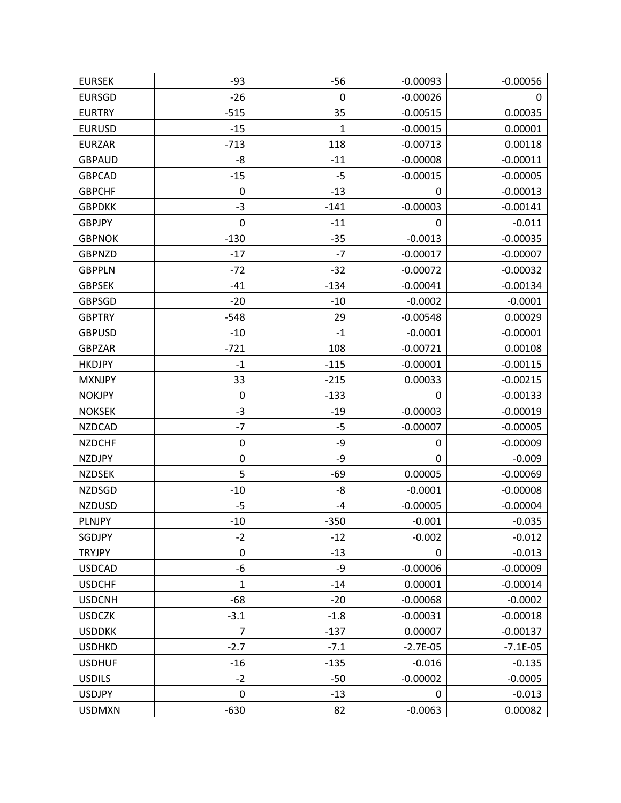| <b>EURSEK</b> | $-93$          | $-56$        | $-0.00093$ | $-0.00056$ |
|---------------|----------------|--------------|------------|------------|
| <b>EURSGD</b> | $-26$          | 0            | $-0.00026$ | 0          |
| <b>EURTRY</b> | $-515$         | 35           | $-0.00515$ | 0.00035    |
| <b>EURUSD</b> | $-15$          | $\mathbf{1}$ | $-0.00015$ | 0.00001    |
| <b>EURZAR</b> | $-713$         | 118          | $-0.00713$ | 0.00118    |
| <b>GBPAUD</b> | -8             | $-11$        | $-0.00008$ | $-0.00011$ |
| <b>GBPCAD</b> | $-15$          | $-5$         | $-0.00015$ | $-0.00005$ |
| <b>GBPCHF</b> | 0              | $-13$        | 0          | $-0.00013$ |
| <b>GBPDKK</b> | $-3$           | $-141$       | $-0.00003$ | $-0.00141$ |
| <b>GBPJPY</b> | 0              | $-11$        | 0          | $-0.011$   |
| <b>GBPNOK</b> | $-130$         | $-35$        | $-0.0013$  | $-0.00035$ |
| <b>GBPNZD</b> | $-17$          | $-7$         | $-0.00017$ | $-0.00007$ |
| <b>GBPPLN</b> | $-72$          | $-32$        | $-0.00072$ | $-0.00032$ |
| <b>GBPSEK</b> | $-41$          | $-134$       | $-0.00041$ | $-0.00134$ |
| <b>GBPSGD</b> | $-20$          | $-10$        | $-0.0002$  | $-0.0001$  |
| <b>GBPTRY</b> | $-548$         | 29           | $-0.00548$ | 0.00029    |
| <b>GBPUSD</b> | $-10$          | $-1$         | $-0.0001$  | $-0.00001$ |
| <b>GBPZAR</b> | $-721$         | 108          | $-0.00721$ | 0.00108    |
| <b>HKDJPY</b> | $-1$           | $-115$       | $-0.00001$ | $-0.00115$ |
| <b>MXNJPY</b> | 33             | $-215$       | 0.00033    | $-0.00215$ |
| <b>NOKJPY</b> | 0              | $-133$       | 0          | $-0.00133$ |
| <b>NOKSEK</b> | $-3$           | $-19$        | $-0.00003$ | $-0.00019$ |
| <b>NZDCAD</b> | $-7$           | -5           | $-0.00007$ | $-0.00005$ |
| <b>NZDCHF</b> | 0              | -9           | 0          | $-0.00009$ |
| <b>NZDJPY</b> | 0              | -9           | 0          | $-0.009$   |
| <b>NZDSEK</b> | 5              | $-69$        | 0.00005    | $-0.00069$ |
| <b>NZDSGD</b> | $-10$          | -8           | $-0.0001$  | $-0.00008$ |
| <b>NZDUSD</b> | -5             | -4           | $-0.00005$ | $-0.00004$ |
| <b>PLNJPY</b> | $-10$          | $-350$       | $-0.001$   | $-0.035$   |
| SGDJPY        | $-2$           | $-12$        | $-0.002$   | $-0.012$   |
| <b>TRYJPY</b> | 0              | $-13$        | 0          | $-0.013$   |
| <b>USDCAD</b> | -6             | -9           | $-0.00006$ | $-0.00009$ |
| <b>USDCHF</b> | $\mathbf{1}$   | $-14$        | 0.00001    | $-0.00014$ |
| <b>USDCNH</b> | $-68$          | $-20$        | $-0.00068$ | $-0.0002$  |
| <b>USDCZK</b> | $-3.1$         | $-1.8$       | $-0.00031$ | $-0.00018$ |
| <b>USDDKK</b> | $\overline{7}$ | $-137$       | 0.00007    | $-0.00137$ |
| <b>USDHKD</b> | $-2.7$         | $-7.1$       | $-2.7E-05$ | $-7.1E-05$ |
| <b>USDHUF</b> | $-16$          | $-135$       | $-0.016$   | $-0.135$   |
| <b>USDILS</b> | $-2$           | $-50$        | $-0.00002$ | $-0.0005$  |
| <b>USDJPY</b> | 0              | $-13$        | 0          | $-0.013$   |
| <b>USDMXN</b> | $-630$         | 82           | $-0.0063$  | 0.00082    |